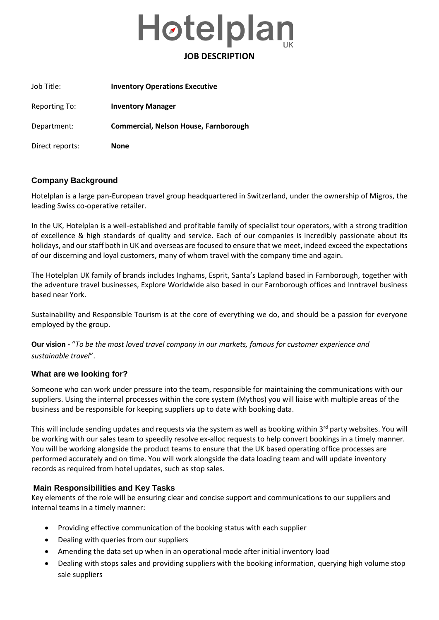

| Job Title:      | <b>Inventory Operations Executive</b> |
|-----------------|---------------------------------------|
| Reporting To:   | <b>Inventory Manager</b>              |
| Department:     | Commercial, Nelson House, Farnborough |
| Direct reports: | <b>None</b>                           |

# **Company Background**

Hotelplan is a large pan-European travel group headquartered in Switzerland, under the ownership of Migros, the leading Swiss co-operative retailer.

In the UK, Hotelplan is a well-established and profitable family of specialist tour operators, with a strong tradition of excellence & high standards of quality and service. Each of our companies is incredibly passionate about its holidays, and our staff both in UK and overseas are focused to ensure that we meet, indeed exceed the expectations of our discerning and loyal customers, many of whom travel with the company time and again.

The Hotelplan UK family of brands includes Inghams, Esprit, Santa's Lapland based in Farnborough, together with the adventure travel businesses, Explore Worldwide also based in our Farnborough offices and Inntravel business based near York.

Sustainability and Responsible Tourism is at the core of everything we do, and should be a passion for everyone employed by the group.

**Our vision -** "*To be the most loved travel company in our markets, famous for customer experience and sustainable travel*".

## **What are we looking for?**

Someone who can work under pressure into the team, responsible for maintaining the communications with our suppliers. Using the internal processes within the core system (Mythos) you will liaise with multiple areas of the business and be responsible for keeping suppliers up to date with booking data.

This will include sending updates and requests via the system as well as booking within  $3^{rd}$  party websites. You will be working with our sales team to speedily resolve ex-alloc requests to help convert bookings in a timely manner. You will be working alongside the product teams to ensure that the UK based operating office processes are performed accurately and on time. You will work alongside the data loading team and will update inventory records as required from hotel updates, such as stop sales.

## **Main Responsibilities and Key Tasks**

Key elements of the role will be ensuring clear and concise support and communications to our suppliers and internal teams in a timely manner:

- Providing effective communication of the booking status with each supplier
- Dealing with queries from our suppliers
- Amending the data set up when in an operational mode after initial inventory load
- Dealing with stops sales and providing suppliers with the booking information, querying high volume stop sale suppliers